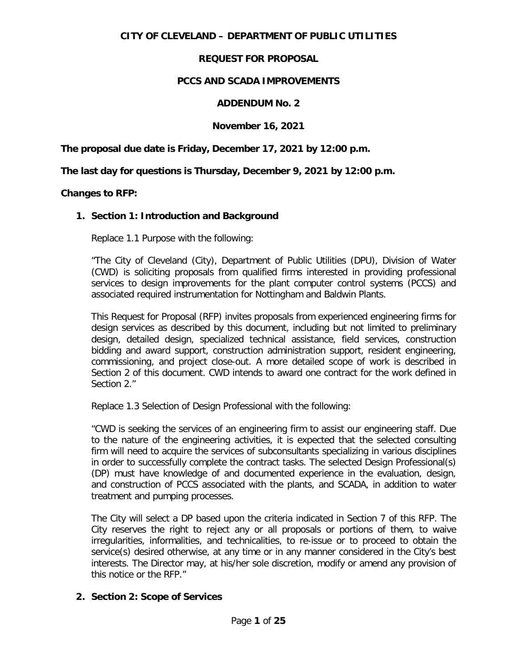# **CITY OF CLEVELAND – DEPARTMENT OF PUBLIC UTILITIES**

# **REQUEST FOR PROPOSAL**

# **PCCS AND SCADA IMPROVEMENTS**

# **ADDENDUM No. 2**

# **November 16, 2021**

**The proposal due date is Friday, December 17, 2021 by 12:00 p.m.**

**The last day for questions is Thursday, December 9, 2021 by 12:00 p.m.**

### **Changes to RFP:**

### **1. Section 1: Introduction and Background**

Replace 1.1 Purpose with the following:

"The City of Cleveland (City), Department of Public Utilities (DPU), Division of Water (CWD) is soliciting proposals from qualified firms interested in providing professional services to design improvements for the plant computer control systems (PCCS) and associated required instrumentation for Nottingham and Baldwin Plants.

This Request for Proposal (RFP) invites proposals from experienced engineering firms for design services as described by this document, including but not limited to preliminary design, detailed design, specialized technical assistance, field services, construction bidding and award support, construction administration support, resident engineering, commissioning, and project close-out. A more detailed scope of work is described in Section 2 of this document. CWD intends to award one contract for the work defined in Section 2."

Replace 1.3 Selection of Design Professional with the following:

"CWD is seeking the services of an engineering firm to assist our engineering staff. Due to the nature of the engineering activities, it is expected that the selected consulting firm will need to acquire the services of subconsultants specializing in various disciplines in order to successfully complete the contract tasks. The selected Design Professional(s) (DP) must have knowledge of and documented experience in the evaluation, design, and construction of PCCS associated with the plants, and SCADA, in addition to water treatment and pumping processes.

The City will select a DP based upon the criteria indicated in Section 7 of this RFP. The City reserves the right to reject any or all proposals or portions of them, to waive irregularities, informalities, and technicalities, to re-issue or to proceed to obtain the service(s) desired otherwise, at any time or in any manner considered in the City's best interests. The Director may, at his/her sole discretion, modify or amend any provision of this notice or the RFP."

### **2. Section 2: Scope of Services**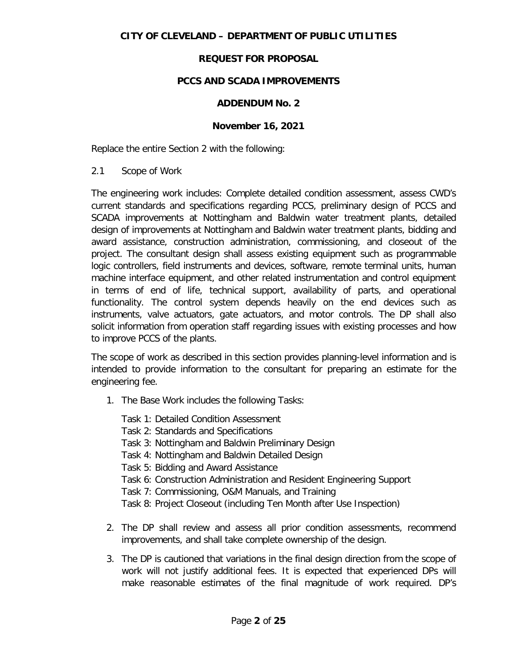# **PCCS AND SCADA IMPROVEMENTS**

# **ADDENDUM No. 2**

# **November 16, 2021**

Replace the entire Section 2 with the following:

2.1 Scope of Work

The engineering work includes: Complete detailed condition assessment, assess CWD's current standards and specifications regarding PCCS, preliminary design of PCCS and SCADA improvements at Nottingham and Baldwin water treatment plants, detailed design of improvements at Nottingham and Baldwin water treatment plants, bidding and award assistance, construction administration, commissioning, and closeout of the project. The consultant design shall assess existing equipment such as programmable logic controllers, field instruments and devices, software, remote terminal units, human machine interface equipment, and other related instrumentation and control equipment in terms of end of life, technical support, availability of parts, and operational functionality. The control system depends heavily on the end devices such as instruments, valve actuators, gate actuators, and motor controls. The DP shall also solicit information from operation staff regarding issues with existing processes and how to improve PCCS of the plants.

The scope of work as described in this section provides planning-level information and is intended to provide information to the consultant for preparing an estimate for the engineering fee.

- 1. The Base Work includes the following Tasks:
	- Task 1: Detailed Condition Assessment Task 2: Standards and Specifications
	-
	- Task 3: Nottingham and Baldwin Preliminary Design
	- Task 4: Nottingham and Baldwin Detailed Design
	- Task 5: Bidding and Award Assistance
	- Task 6: Construction Administration and Resident Engineering Support
	- Task 7: Commissioning, O&M Manuals, and Training
	- Task 8: Project Closeout (including Ten Month after Use Inspection)
- 2. The DP shall review and assess all prior condition assessments, recommend improvements, and shall take complete ownership of the design.
- 3. The DP is cautioned that variations in the final design direction from the scope of work will not justify additional fees. It is expected that experienced DPs will make reasonable estimates of the final magnitude of work required. DP's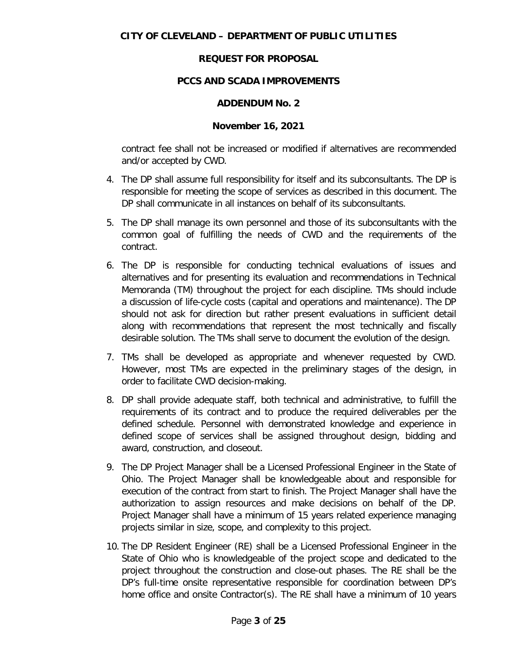# **PCCS AND SCADA IMPROVEMENTS**

### **ADDENDUM No. 2**

#### **November 16, 2021**

contract fee shall not be increased or modified if alternatives are recommended and/or accepted by CWD.

- 4. The DP shall assume full responsibility for itself and its subconsultants. The DP is responsible for meeting the scope of services as described in this document. The DP shall communicate in all instances on behalf of its subconsultants.
- 5. The DP shall manage its own personnel and those of its subconsultants with the common goal of fulfilling the needs of CWD and the requirements of the contract.
- 6. The DP is responsible for conducting technical evaluations of issues and alternatives and for presenting its evaluation and recommendations in Technical Memoranda (TM) throughout the project for each discipline. TMs should include a discussion of life-cycle costs (capital and operations and maintenance). The DP should not ask for direction but rather present evaluations in sufficient detail along with recommendations that represent the most technically and fiscally desirable solution. The TMs shall serve to document the evolution of the design.
- 7. TMs shall be developed as appropriate and whenever requested by CWD. However, most TMs are expected in the preliminary stages of the design, in order to facilitate CWD decision-making.
- 8. DP shall provide adequate staff, both technical and administrative, to fulfill the requirements of its contract and to produce the required deliverables per the defined schedule. Personnel with demonstrated knowledge and experience in defined scope of services shall be assigned throughout design, bidding and award, construction, and closeout.
- 9. The DP Project Manager shall be a Licensed Professional Engineer in the State of Ohio. The Project Manager shall be knowledgeable about and responsible for execution of the contract from start to finish. The Project Manager shall have the authorization to assign resources and make decisions on behalf of the DP. Project Manager shall have a minimum of 15 years related experience managing projects similar in size, scope, and complexity to this project.
- 10. The DP Resident Engineer (RE) shall be a Licensed Professional Engineer in the State of Ohio who is knowledgeable of the project scope and dedicated to the project throughout the construction and close-out phases. The RE shall be the DP's full-time onsite representative responsible for coordination between DP's home office and onsite Contractor(s). The RE shall have a minimum of 10 years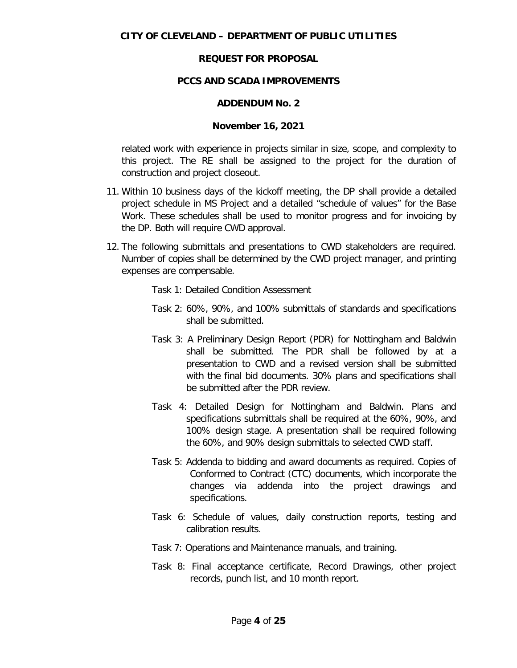# **PCCS AND SCADA IMPROVEMENTS**

### **ADDENDUM No. 2**

# **November 16, 2021**

related work with experience in projects similar in size, scope, and complexity to this project. The RE shall be assigned to the project for the duration of construction and project closeout.

- 11. Within 10 business days of the kickoff meeting, the DP shall provide a detailed project schedule in MS Project and a detailed "schedule of values" for the Base Work. These schedules shall be used to monitor progress and for invoicing by the DP. Both will require CWD approval.
- 12. The following submittals and presentations to CWD stakeholders are required. Number of copies shall be determined by the CWD project manager, and printing expenses are compensable.
	- Task 1: Detailed Condition Assessment
	- Task 2: 60%, 90%, and 100% submittals of standards and specifications shall be submitted.
	- Task 3: A Preliminary Design Report (PDR) for Nottingham and Baldwin shall be submitted. The PDR shall be followed by at a presentation to CWD and a revised version shall be submitted with the final bid documents. 30% plans and specifications shall be submitted after the PDR review.
	- Task 4: Detailed Design for Nottingham and Baldwin. Plans and specifications submittals shall be required at the 60%, 90%, and 100% design stage. A presentation shall be required following the 60%, and 90% design submittals to selected CWD staff.
	- Task 5: Addenda to bidding and award documents as required. Copies of Conformed to Contract (CTC) documents, which incorporate the changes via addenda into the project drawings and specifications.
	- Task 6: Schedule of values, daily construction reports, testing and calibration results.
	- Task 7: Operations and Maintenance manuals, and training.
	- Task 8: Final acceptance certificate, Record Drawings, other project records, punch list, and 10 month report.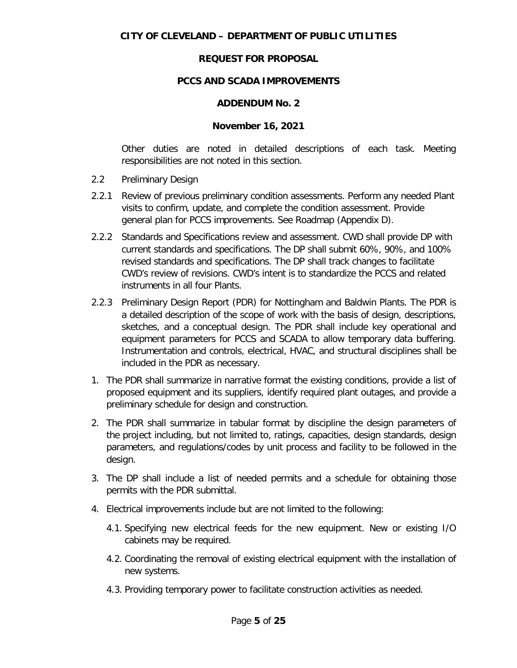# **PCCS AND SCADA IMPROVEMENTS**

#### **ADDENDUM No. 2**

#### **November 16, 2021**

Other duties are noted in detailed descriptions of each task. Meeting responsibilities are not noted in this section.

- 2.2 Preliminary Design
- 2.2.1 Review of previous preliminary condition assessments. Perform any needed Plant visits to confirm, update, and complete the condition assessment. Provide general plan for PCCS improvements. See Roadmap (Appendix D).
- 2.2.2 Standards and Specifications review and assessment. CWD shall provide DP with current standards and specifications. The DP shall submit 60%, 90%, and 100% revised standards and specifications. The DP shall track changes to facilitate CWD's review of revisions. CWD's intent is to standardize the PCCS and related instruments in all four Plants.
- 2.2.3 Preliminary Design Report (PDR) for Nottingham and Baldwin Plants. The PDR is a detailed description of the scope of work with the basis of design, descriptions, sketches, and a conceptual design. The PDR shall include key operational and equipment parameters for PCCS and SCADA to allow temporary data buffering. Instrumentation and controls, electrical, HVAC, and structural disciplines shall be included in the PDR as necessary.
- 1. The PDR shall summarize in narrative format the existing conditions, provide a list of proposed equipment and its suppliers, identify required plant outages, and provide a preliminary schedule for design and construction.
- 2. The PDR shall summarize in tabular format by discipline the design parameters of the project including, but not limited to, ratings, capacities, design standards, design parameters, and regulations/codes by unit process and facility to be followed in the design.
- 3. The DP shall include a list of needed permits and a schedule for obtaining those permits with the PDR submittal.
- 4. Electrical improvements include but are not limited to the following:
	- 4.1. Specifying new electrical feeds for the new equipment. New or existing I/O cabinets may be required.
	- 4.2. Coordinating the removal of existing electrical equipment with the installation of new systems.
	- 4.3. Providing temporary power to facilitate construction activities as needed.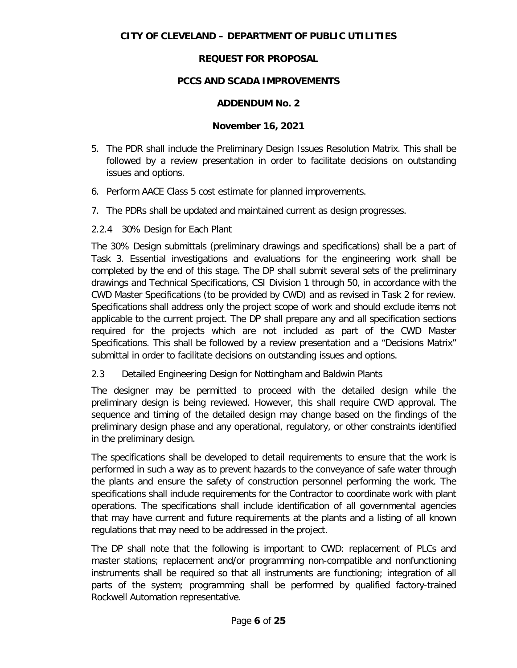# **PCCS AND SCADA IMPROVEMENTS**

### **ADDENDUM No. 2**

#### **November 16, 2021**

- 5. The PDR shall include the Preliminary Design Issues Resolution Matrix. This shall be followed by a review presentation in order to facilitate decisions on outstanding issues and options.
- 6. Perform AACE Class 5 cost estimate for planned improvements.
- 7. The PDRs shall be updated and maintained current as design progresses.
- 2.2.4 30% Design for Each Plant

The 30% Design submittals (preliminary drawings and specifications) shall be a part of Task 3. Essential investigations and evaluations for the engineering work shall be completed by the end of this stage. The DP shall submit several sets of the preliminary drawings and Technical Specifications, CSI Division 1 through 50, in accordance with the CWD Master Specifications (to be provided by CWD) and as revised in Task 2 for review. Specifications shall address only the project scope of work and should exclude items not applicable to the current project. The DP shall prepare any and all specification sections required for the projects which are not included as part of the CWD Master Specifications. This shall be followed by a review presentation and a "Decisions Matrix" submittal in order to facilitate decisions on outstanding issues and options.

2.3 Detailed Engineering Design for Nottingham and Baldwin Plants

The designer may be permitted to proceed with the detailed design while the preliminary design is being reviewed. However, this shall require CWD approval. The sequence and timing of the detailed design may change based on the findings of the preliminary design phase and any operational, regulatory, or other constraints identified in the preliminary design.

The specifications shall be developed to detail requirements to ensure that the work is performed in such a way as to prevent hazards to the conveyance of safe water through the plants and ensure the safety of construction personnel performing the work. The specifications shall include requirements for the Contractor to coordinate work with plant operations. The specifications shall include identification of all governmental agencies that may have current and future requirements at the plants and a listing of all known regulations that may need to be addressed in the project.

The DP shall note that the following is important to CWD: replacement of PLCs and master stations; replacement and/or programming non-compatible and nonfunctioning instruments shall be required so that all instruments are functioning; integration of all parts of the system; programming shall be performed by qualified factory-trained Rockwell Automation representative.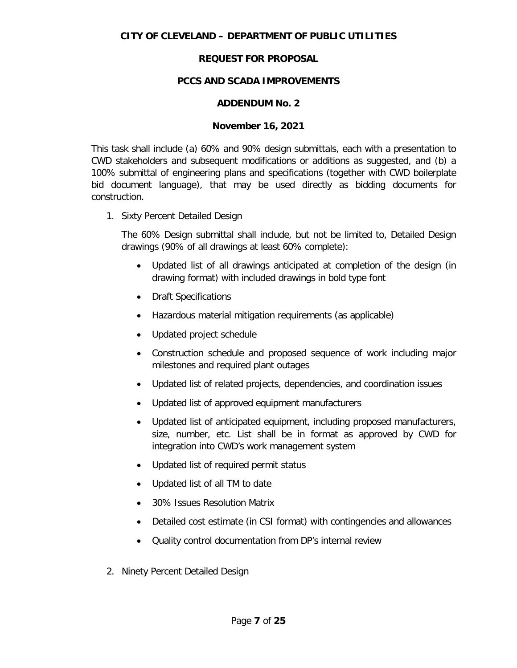# **PCCS AND SCADA IMPROVEMENTS**

# **ADDENDUM No. 2**

# **November 16, 2021**

This task shall include (a) 60% and 90% design submittals, each with a presentation to CWD stakeholders and subsequent modifications or additions as suggested, and (b) a 100% submittal of engineering plans and specifications (together with CWD boilerplate bid document language), that may be used directly as bidding documents for construction.

1. Sixty Percent Detailed Design

The 60% Design submittal shall include, but not be limited to, Detailed Design drawings (90% of all drawings at least 60% complete):

- Updated list of all drawings anticipated at completion of the design (in drawing format) with included drawings in bold type font
- Draft Specifications
- Hazardous material mitigation requirements (as applicable)
- Updated project schedule
- Construction schedule and proposed sequence of work including major milestones and required plant outages
- Updated list of related projects, dependencies, and coordination issues
- Updated list of approved equipment manufacturers
- Updated list of anticipated equipment, including proposed manufacturers, size, number, etc. List shall be in format as approved by CWD for integration into CWD's work management system
- Updated list of required permit status
- Updated list of all TM to date
- 30% Issues Resolution Matrix
- Detailed cost estimate (in CSI format) with contingencies and allowances
- Quality control documentation from DP's internal review
- 2. Ninety Percent Detailed Design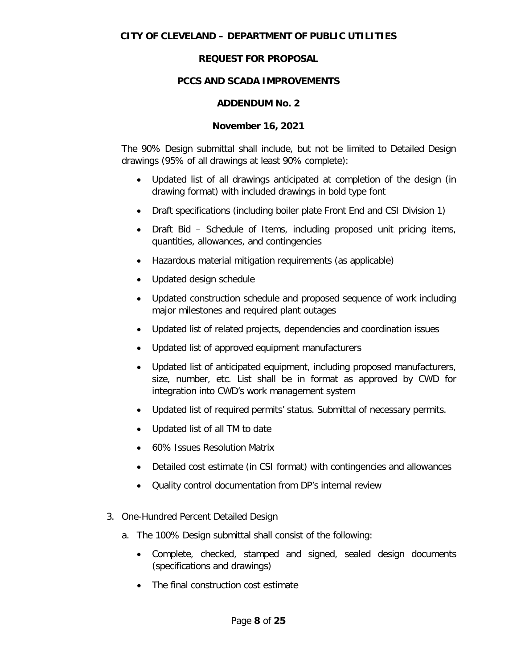# **PCCS AND SCADA IMPROVEMENTS**

# **ADDENDUM No. 2**

# **November 16, 2021**

The 90% Design submittal shall include, but not be limited to Detailed Design drawings (95% of all drawings at least 90% complete):

- Updated list of all drawings anticipated at completion of the design (in drawing format) with included drawings in bold type font
- Draft specifications (including boiler plate Front End and CSI Division 1)
- Draft Bid Schedule of Items, including proposed unit pricing items, quantities, allowances, and contingencies
- Hazardous material mitigation requirements (as applicable)
- Updated design schedule
- Updated construction schedule and proposed sequence of work including major milestones and required plant outages
- Updated list of related projects, dependencies and coordination issues
- Updated list of approved equipment manufacturers
- Updated list of anticipated equipment, including proposed manufacturers, size, number, etc. List shall be in format as approved by CWD for integration into CWD's work management system
- Updated list of required permits' status. Submittal of necessary permits.
- Updated list of all TM to date
- 60% Issues Resolution Matrix
- Detailed cost estimate (in CSI format) with contingencies and allowances
- Quality control documentation from DP's internal review
- 3. One-Hundred Percent Detailed Design
	- a. The 100% Design submittal shall consist of the following:
		- Complete, checked, stamped and signed, sealed design documents (specifications and drawings)
		- The final construction cost estimate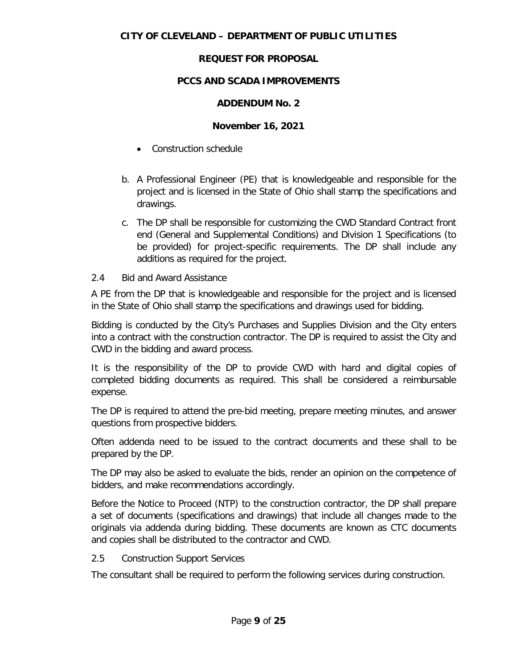# **PCCS AND SCADA IMPROVEMENTS**

# **ADDENDUM No. 2**

# **November 16, 2021**

- Construction schedule
- b. A Professional Engineer (PE) that is knowledgeable and responsible for the project and is licensed in the State of Ohio shall stamp the specifications and drawings.
- c. The DP shall be responsible for customizing the CWD Standard Contract front end (General and Supplemental Conditions) and Division 1 Specifications (to be provided) for project-specific requirements. The DP shall include any additions as required for the project.

# 2.4 Bid and Award Assistance

A PE from the DP that is knowledgeable and responsible for the project and is licensed in the State of Ohio shall stamp the specifications and drawings used for bidding.

Bidding is conducted by the City's Purchases and Supplies Division and the City enters into a contract with the construction contractor. The DP is required to assist the City and CWD in the bidding and award process.

It is the responsibility of the DP to provide CWD with hard and digital copies of completed bidding documents as required. This shall be considered a reimbursable expense.

The DP is required to attend the pre-bid meeting, prepare meeting minutes, and answer questions from prospective bidders.

Often addenda need to be issued to the contract documents and these shall to be prepared by the DP.

The DP may also be asked to evaluate the bids, render an opinion on the competence of bidders, and make recommendations accordingly.

Before the Notice to Proceed (NTP) to the construction contractor, the DP shall prepare a set of documents (specifications and drawings) that include all changes made to the originals via addenda during bidding. These documents are known as CTC documents and copies shall be distributed to the contractor and CWD.

### 2.5 Construction Support Services

The consultant shall be required to perform the following services during construction.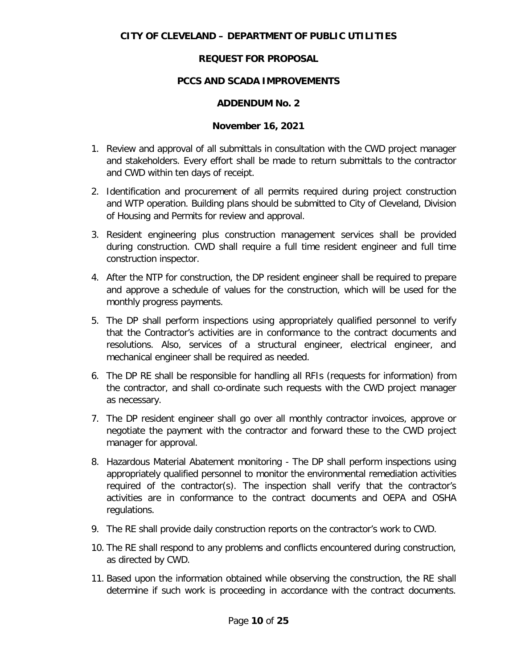# **PCCS AND SCADA IMPROVEMENTS**

### **ADDENDUM No. 2**

### **November 16, 2021**

- 1. Review and approval of all submittals in consultation with the CWD project manager and stakeholders. Every effort shall be made to return submittals to the contractor and CWD within ten days of receipt.
- 2. Identification and procurement of all permits required during project construction and WTP operation. Building plans should be submitted to City of Cleveland, Division of Housing and Permits for review and approval.
- 3. Resident engineering plus construction management services shall be provided during construction. CWD shall require a full time resident engineer and full time construction inspector.
- 4. After the NTP for construction, the DP resident engineer shall be required to prepare and approve a schedule of values for the construction, which will be used for the monthly progress payments.
- 5. The DP shall perform inspections using appropriately qualified personnel to verify that the Contractor's activities are in conformance to the contract documents and resolutions. Also, services of a structural engineer, electrical engineer, and mechanical engineer shall be required as needed.
- 6. The DP RE shall be responsible for handling all RFIs (requests for information) from the contractor, and shall co-ordinate such requests with the CWD project manager as necessary.
- 7. The DP resident engineer shall go over all monthly contractor invoices, approve or negotiate the payment with the contractor and forward these to the CWD project manager for approval.
- 8. Hazardous Material Abatement monitoring The DP shall perform inspections using appropriately qualified personnel to monitor the environmental remediation activities required of the contractor(s). The inspection shall verify that the contractor's activities are in conformance to the contract documents and OEPA and OSHA regulations.
- 9. The RE shall provide daily construction reports on the contractor's work to CWD.
- 10. The RE shall respond to any problems and conflicts encountered during construction, as directed by CWD.
- 11. Based upon the information obtained while observing the construction, the RE shall determine if such work is proceeding in accordance with the contract documents.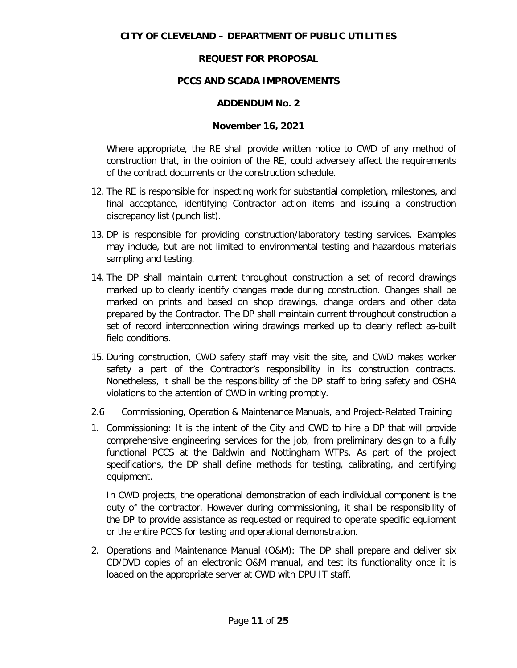# **PCCS AND SCADA IMPROVEMENTS**

### **ADDENDUM No. 2**

#### **November 16, 2021**

Where appropriate, the RE shall provide written notice to CWD of any method of construction that, in the opinion of the RE, could adversely affect the requirements of the contract documents or the construction schedule.

- 12. The RE is responsible for inspecting work for substantial completion, milestones, and final acceptance, identifying Contractor action items and issuing a construction discrepancy list (punch list).
- 13. DP is responsible for providing construction/laboratory testing services. Examples may include, but are not limited to environmental testing and hazardous materials sampling and testing.
- 14. The DP shall maintain current throughout construction a set of record drawings marked up to clearly identify changes made during construction. Changes shall be marked on prints and based on shop drawings, change orders and other data prepared by the Contractor. The DP shall maintain current throughout construction a set of record interconnection wiring drawings marked up to clearly reflect as-built field conditions.
- 15. During construction, CWD safety staff may visit the site, and CWD makes worker safety a part of the Contractor's responsibility in its construction contracts. Nonetheless, it shall be the responsibility of the DP staff to bring safety and OSHA violations to the attention of CWD in writing promptly.
- 2.6 Commissioning, Operation & Maintenance Manuals, and Project-Related Training
- 1. Commissioning: It is the intent of the City and CWD to hire a DP that will provide comprehensive engineering services for the job, from preliminary design to a fully functional PCCS at the Baldwin and Nottingham WTPs. As part of the project specifications, the DP shall define methods for testing, calibrating, and certifying equipment.

In CWD projects, the operational demonstration of each individual component is the duty of the contractor. However during commissioning, it shall be responsibility of the DP to provide assistance as requested or required to operate specific equipment or the entire PCCS for testing and operational demonstration.

2. Operations and Maintenance Manual (O&M): The DP shall prepare and deliver six CD/DVD copies of an electronic O&M manual, and test its functionality once it is loaded on the appropriate server at CWD with DPU IT staff.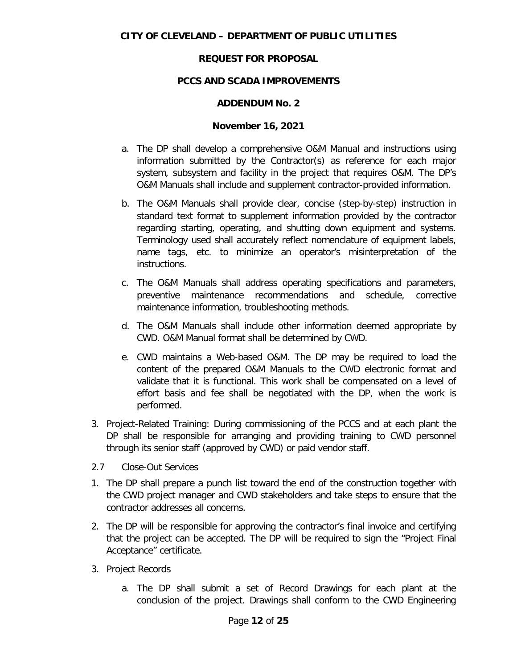# **PCCS AND SCADA IMPROVEMENTS**

### **ADDENDUM No. 2**

# **November 16, 2021**

- a. The DP shall develop a comprehensive O&M Manual and instructions using information submitted by the Contractor(s) as reference for each major system, subsystem and facility in the project that requires O&M. The DP's O&M Manuals shall include and supplement contractor-provided information.
- b. The O&M Manuals shall provide clear, concise (step-by-step) instruction in standard text format to supplement information provided by the contractor regarding starting, operating, and shutting down equipment and systems. Terminology used shall accurately reflect nomenclature of equipment labels, name tags, etc. to minimize an operator's misinterpretation of the instructions.
- c. The O&M Manuals shall address operating specifications and parameters, preventive maintenance recommendations and schedule, corrective maintenance information, troubleshooting methods.
- d. The O&M Manuals shall include other information deemed appropriate by CWD. O&M Manual format shall be determined by CWD.
- e. CWD maintains a Web-based O&M. The DP may be required to load the content of the prepared O&M Manuals to the CWD electronic format and validate that it is functional. This work shall be compensated on a level of effort basis and fee shall be negotiated with the DP, when the work is performed.
- 3. Project-Related Training: During commissioning of the PCCS and at each plant the DP shall be responsible for arranging and providing training to CWD personnel through its senior staff (approved by CWD) or paid vendor staff.
- 2.7 Close-Out Services
- 1. The DP shall prepare a punch list toward the end of the construction together with the CWD project manager and CWD stakeholders and take steps to ensure that the contractor addresses all concerns.
- 2. The DP will be responsible for approving the contractor's final invoice and certifying that the project can be accepted. The DP will be required to sign the "Project Final Acceptance" certificate.
- 3. Project Records
	- a. The DP shall submit a set of Record Drawings for each plant at the conclusion of the project. Drawings shall conform to the CWD Engineering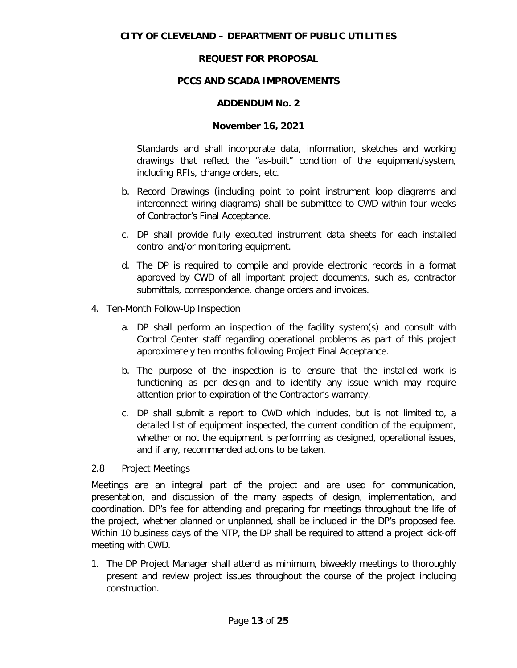# **PCCS AND SCADA IMPROVEMENTS**

### **ADDENDUM No. 2**

### **November 16, 2021**

Standards and shall incorporate data, information, sketches and working drawings that reflect the "as-built" condition of the equipment/system, including RFIs, change orders, etc.

- b. Record Drawings (including point to point instrument loop diagrams and interconnect wiring diagrams) shall be submitted to CWD within four weeks of Contractor's Final Acceptance.
- c. DP shall provide fully executed instrument data sheets for each installed control and/or monitoring equipment.
- d. The DP is required to compile and provide electronic records in a format approved by CWD of all important project documents, such as, contractor submittals, correspondence, change orders and invoices.
- 4. Ten-Month Follow-Up Inspection
	- a. DP shall perform an inspection of the facility system(s) and consult with Control Center staff regarding operational problems as part of this project approximately ten months following Project Final Acceptance.
	- b. The purpose of the inspection is to ensure that the installed work is functioning as per design and to identify any issue which may require attention prior to expiration of the Contractor's warranty.
	- c. DP shall submit a report to CWD which includes, but is not limited to, a detailed list of equipment inspected, the current condition of the equipment, whether or not the equipment is performing as designed, operational issues, and if any, recommended actions to be taken.

### 2.8 Project Meetings

Meetings are an integral part of the project and are used for communication, presentation, and discussion of the many aspects of design, implementation, and coordination. DP's fee for attending and preparing for meetings throughout the life of the project, whether planned or unplanned, shall be included in the DP's proposed fee. Within 10 business days of the NTP, the DP shall be required to attend a project kick-off meeting with CWD.

1. The DP Project Manager shall attend as minimum, biweekly meetings to thoroughly present and review project issues throughout the course of the project including construction.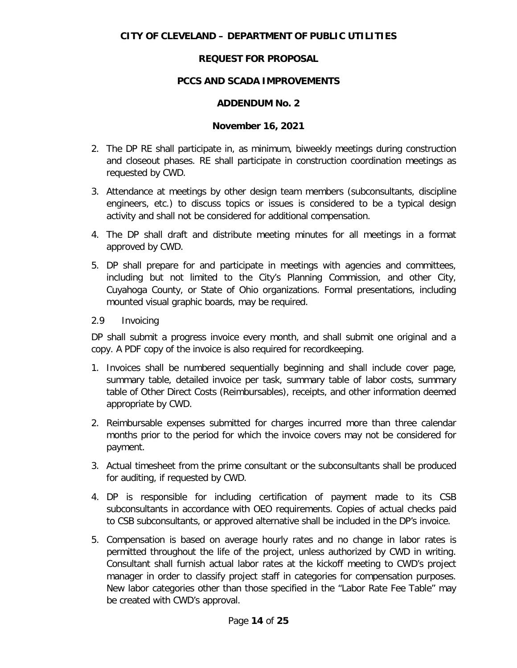# **PCCS AND SCADA IMPROVEMENTS**

### **ADDENDUM No. 2**

#### **November 16, 2021**

- 2. The DP RE shall participate in, as minimum, biweekly meetings during construction and closeout phases. RE shall participate in construction coordination meetings as requested by CWD.
- 3. Attendance at meetings by other design team members (subconsultants, discipline engineers, etc.) to discuss topics or issues is considered to be a typical design activity and shall not be considered for additional compensation.
- 4. The DP shall draft and distribute meeting minutes for all meetings in a format approved by CWD.
- 5. DP shall prepare for and participate in meetings with agencies and committees, including but not limited to the City's Planning Commission, and other City, Cuyahoga County, or State of Ohio organizations. Formal presentations, including mounted visual graphic boards, may be required.
- 2.9 Invoicing

DP shall submit a progress invoice every month, and shall submit one original and a copy. A PDF copy of the invoice is also required for recordkeeping.

- 1. Invoices shall be numbered sequentially beginning and shall include cover page, summary table, detailed invoice per task, summary table of labor costs, summary table of Other Direct Costs (Reimbursables), receipts, and other information deemed appropriate by CWD.
- 2. Reimbursable expenses submitted for charges incurred more than three calendar months prior to the period for which the invoice covers may not be considered for payment.
- 3. Actual timesheet from the prime consultant or the subconsultants shall be produced for auditing, if requested by CWD.
- 4. DP is responsible for including certification of payment made to its CSB subconsultants in accordance with OEO requirements. Copies of actual checks paid to CSB subconsultants, or approved alternative shall be included in the DP's invoice.
- 5. Compensation is based on average hourly rates and no change in labor rates is permitted throughout the life of the project, unless authorized by CWD in writing. Consultant shall furnish actual labor rates at the kickoff meeting to CWD's project manager in order to classify project staff in categories for compensation purposes. New labor categories other than those specified in the "Labor Rate Fee Table" may be created with CWD's approval.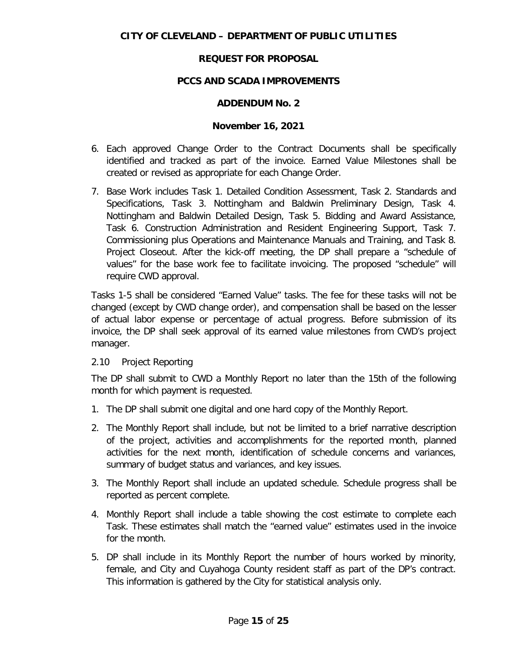# **PCCS AND SCADA IMPROVEMENTS**

# **ADDENDUM No. 2**

# **November 16, 2021**

- 6. Each approved Change Order to the Contract Documents shall be specifically identified and tracked as part of the invoice. Earned Value Milestones shall be created or revised as appropriate for each Change Order.
- 7. Base Work includes Task 1. Detailed Condition Assessment, Task 2. Standards and Specifications, Task 3. Nottingham and Baldwin Preliminary Design, Task 4. Nottingham and Baldwin Detailed Design, Task 5. Bidding and Award Assistance, Task 6. Construction Administration and Resident Engineering Support, Task 7. Commissioning plus Operations and Maintenance Manuals and Training, and Task 8. Project Closeout. After the kick-off meeting, the DP shall prepare a "schedule of values" for the base work fee to facilitate invoicing. The proposed "schedule" will require CWD approval.

Tasks 1-5 shall be considered "Earned Value" tasks. The fee for these tasks will not be changed (except by CWD change order), and compensation shall be based on the lesser of actual labor expense or percentage of actual progress. Before submission of its invoice, the DP shall seek approval of its earned value milestones from CWD's project manager.

### 2.10 Project Reporting

The DP shall submit to CWD a Monthly Report no later than the 15th of the following month for which payment is requested.

- 1. The DP shall submit one digital and one hard copy of the Monthly Report.
- 2. The Monthly Report shall include, but not be limited to a brief narrative description of the project, activities and accomplishments for the reported month, planned activities for the next month, identification of schedule concerns and variances, summary of budget status and variances, and key issues.
- 3. The Monthly Report shall include an updated schedule. Schedule progress shall be reported as percent complete.
- 4. Monthly Report shall include a table showing the cost estimate to complete each Task. These estimates shall match the "earned value" estimates used in the invoice for the month.
- 5. DP shall include in its Monthly Report the number of hours worked by minority, female, and City and Cuyahoga County resident staff as part of the DP's contract. This information is gathered by the City for statistical analysis only.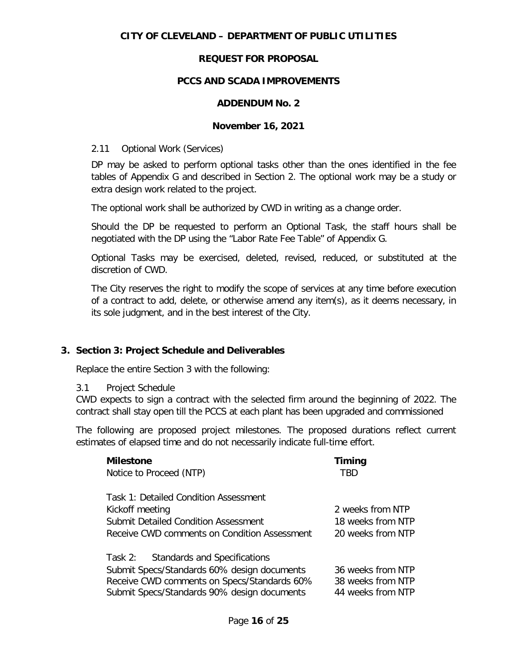# **CITY OF CLEVELAND – DEPARTMENT OF PUBLIC UTILITIES**

# **REQUEST FOR PROPOSAL**

# **PCCS AND SCADA IMPROVEMENTS**

### **ADDENDUM No. 2**

#### **November 16, 2021**

#### 2.11 Optional Work (Services)

DP may be asked to perform optional tasks other than the ones identified in the fee tables of Appendix G and described in Section 2. The optional work may be a study or extra design work related to the project.

The optional work shall be authorized by CWD in writing as a change order.

Should the DP be requested to perform an Optional Task, the staff hours shall be negotiated with the DP using the "Labor Rate Fee Table" of Appendix G.

Optional Tasks may be exercised, deleted, revised, reduced, or substituted at the discretion of CWD.

The City reserves the right to modify the scope of services at any time before execution of a contract to add, delete, or otherwise amend any item(s), as it deems necessary, in its sole judgment, and in the best interest of the City.

### **3. Section 3: Project Schedule and Deliverables**

Replace the entire Section 3 with the following:

#### 3.1 Project Schedule

CWD expects to sign a contract with the selected firm around the beginning of 2022. The contract shall stay open till the PCCS at each plant has been upgraded and commissioned

The following are proposed project milestones. The proposed durations reflect current estimates of elapsed time and do not necessarily indicate full-time effort.

| <b>Milestone</b>                             | Timing            |
|----------------------------------------------|-------------------|
| Notice to Proceed (NTP)                      | TBD               |
| Task 1: Detailed Condition Assessment        |                   |
| Kickoff meeting                              | 2 weeks from NTP  |
| Submit Detailed Condition Assessment         | 18 weeks from NTP |
| Receive CWD comments on Condition Assessment | 20 weeks from NTP |
| Task 2: Standards and Specifications         |                   |
| Submit Specs/Standards 60% design documents  | 36 weeks from NTP |
| Receive CWD comments on Specs/Standards 60%  | 38 weeks from NTP |
| Submit Specs/Standards 90% design documents  | 44 weeks from NTP |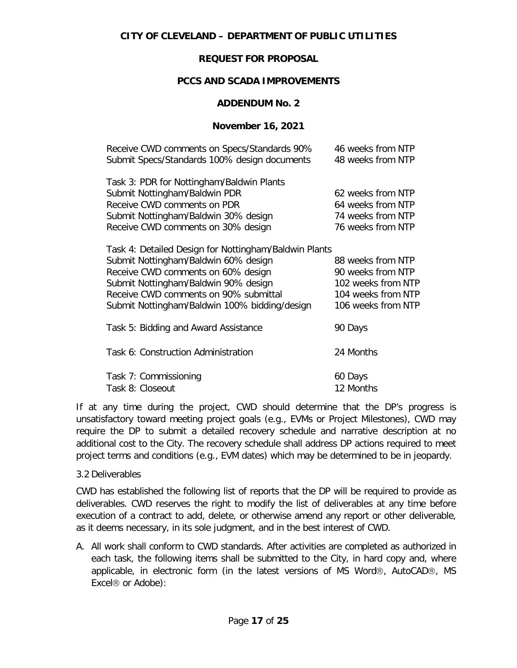### **PCCS AND SCADA IMPROVEMENTS**

#### **ADDENDUM No. 2**

### **November 16, 2021**

| Receive CWD comments on Specs/Standards 90%           | 46 weeks from NTP  |
|-------------------------------------------------------|--------------------|
| Submit Specs/Standards 100% design documents          | 48 weeks from NTP  |
| Task 3: PDR for Nottingham/Baldwin Plants             |                    |
| Submit Nottingham/Baldwin PDR                         | 62 weeks from NTP  |
| Receive CWD comments on PDR                           | 64 weeks from NTP  |
| Submit Nottingham/Baldwin 30% design                  | 74 weeks from NTP  |
| Receive CWD comments on 30% design                    | 76 weeks from NTP  |
| Task 4: Detailed Design for Nottingham/Baldwin Plants |                    |
| Submit Nottingham/Baldwin 60% design                  | 88 weeks from NTP  |
| Receive CWD comments on 60% design                    | 90 weeks from NTP  |
| Submit Nottingham/Baldwin 90% design                  | 102 weeks from NTP |
| Receive CWD comments on 90% submittal                 | 104 weeks from NTP |
| Submit Nottingham/Baldwin 100% bidding/design         | 106 weeks from NTP |
| Task 5: Bidding and Award Assistance                  | 90 Days            |
| Task 6: Construction Administration                   | 24 Months          |
| Task 7: Commissioning                                 | 60 Days            |
| Task 8: Closeout                                      | 12 Months          |
|                                                       |                    |

If at any time during the project, CWD should determine that the DP's progress is unsatisfactory toward meeting project goals (e.g., EVMs or Project Milestones), CWD may require the DP to submit a detailed recovery schedule and narrative description at no additional cost to the City. The recovery schedule shall address DP actions required to meet project terms and conditions (e.g., EVM dates) which may be determined to be in jeopardy.

### 3.2 Deliverables

CWD has established the following list of reports that the DP will be required to provide as deliverables. CWD reserves the right to modify the list of deliverables at any time before execution of a contract to add, delete, or otherwise amend any report or other deliverable, as it deems necessary, in its sole judgment, and in the best interest of CWD.

A. All work shall conform to CWD standards. After activities are completed as authorized in each task, the following items shall be submitted to the City, in hard copy and, where applicable, in electronic form (in the latest versions of MS Word®, AutoCAD®, MS Excel<sup>®</sup> or Adobe):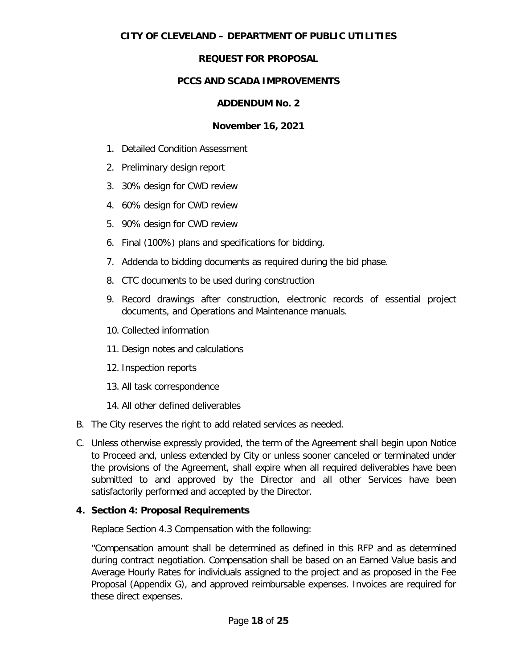# **CITY OF CLEVELAND – DEPARTMENT OF PUBLIC UTILITIES**

# **REQUEST FOR PROPOSAL**

# **PCCS AND SCADA IMPROVEMENTS**

### **ADDENDUM No. 2**

### **November 16, 2021**

- 1. Detailed Condition Assessment
- 2. Preliminary design report
- 3. 30% design for CWD review
- 4. 60% design for CWD review
- 5. 90% design for CWD review
- 6. Final (100%) plans and specifications for bidding.
- 7. Addenda to bidding documents as required during the bid phase.
- 8. CTC documents to be used during construction
- 9. Record drawings after construction, electronic records of essential project documents, and Operations and Maintenance manuals.
- 10. Collected information
- 11. Design notes and calculations
- 12. Inspection reports
- 13. All task correspondence
- 14. All other defined deliverables
- B. The City reserves the right to add related services as needed.
- C. Unless otherwise expressly provided, the term of the Agreement shall begin upon Notice to Proceed and, unless extended by City or unless sooner canceled or terminated under the provisions of the Agreement, shall expire when all required deliverables have been submitted to and approved by the Director and all other Services have been satisfactorily performed and accepted by the Director.

# **4. Section 4: Proposal Requirements**

Replace Section 4.3 Compensation with the following:

"Compensation amount shall be determined as defined in this RFP and as determined during contract negotiation. Compensation shall be based on an Earned Value basis and Average Hourly Rates for individuals assigned to the project and as proposed in the Fee Proposal (Appendix G), and approved reimbursable expenses. Invoices are required for these direct expenses.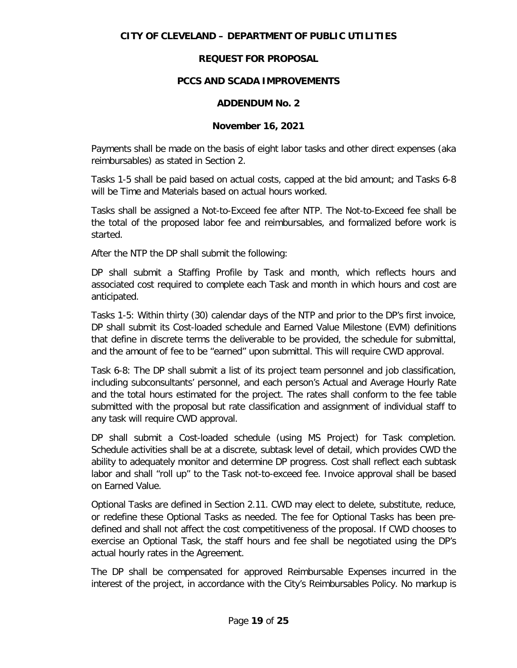# **PCCS AND SCADA IMPROVEMENTS**

### **ADDENDUM No. 2**

# **November 16, 2021**

Payments shall be made on the basis of eight labor tasks and other direct expenses (aka reimbursables) as stated in Section 2.

Tasks 1-5 shall be paid based on actual costs, capped at the bid amount; and Tasks 6-8 will be Time and Materials based on actual hours worked.

Tasks shall be assigned a Not-to-Exceed fee after NTP. The Not-to-Exceed fee shall be the total of the proposed labor fee and reimbursables, and formalized before work is started.

After the NTP the DP shall submit the following:

DP shall submit a Staffing Profile by Task and month, which reflects hours and associated cost required to complete each Task and month in which hours and cost are anticipated.

Tasks 1-5: Within thirty (30) calendar days of the NTP and prior to the DP's first invoice, DP shall submit its Cost-loaded schedule and Earned Value Milestone (EVM) definitions that define in discrete terms the deliverable to be provided, the schedule for submittal, and the amount of fee to be "earned" upon submittal. This will require CWD approval.

Task 6-8: The DP shall submit a list of its project team personnel and job classification, including subconsultants' personnel, and each person's Actual and Average Hourly Rate and the total hours estimated for the project. The rates shall conform to the fee table submitted with the proposal but rate classification and assignment of individual staff to any task will require CWD approval.

DP shall submit a Cost-loaded schedule (using MS Project) for Task completion. Schedule activities shall be at a discrete, subtask level of detail, which provides CWD the ability to adequately monitor and determine DP progress. Cost shall reflect each subtask labor and shall "roll up" to the Task not-to-exceed fee. Invoice approval shall be based on Earned Value.

Optional Tasks are defined in Section 2.11. CWD may elect to delete, substitute, reduce, or redefine these Optional Tasks as needed. The fee for Optional Tasks has been predefined and shall not affect the cost competitiveness of the proposal. If CWD chooses to exercise an Optional Task, the staff hours and fee shall be negotiated using the DP's actual hourly rates in the Agreement.

The DP shall be compensated for approved Reimbursable Expenses incurred in the interest of the project, in accordance with the City's Reimbursables Policy. No markup is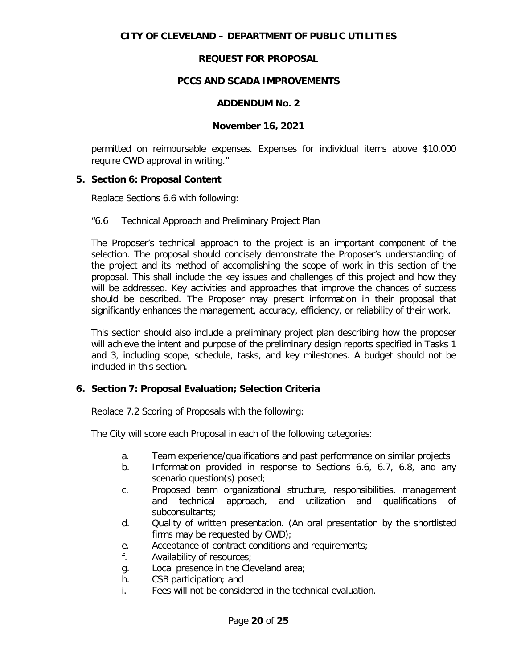### **PCCS AND SCADA IMPROVEMENTS**

#### **ADDENDUM No. 2**

#### **November 16, 2021**

permitted on reimbursable expenses. Expenses for individual items above \$10,000 require CWD approval in writing."

#### **5. Section 6: Proposal Content**

Replace Sections 6.6 with following:

#### "6.6 Technical Approach and Preliminary Project Plan

The Proposer's technical approach to the project is an important component of the selection. The proposal should concisely demonstrate the Proposer's understanding of the project and its method of accomplishing the scope of work in this section of the proposal. This shall include the key issues and challenges of this project and how they will be addressed. Key activities and approaches that improve the chances of success should be described. The Proposer may present information in their proposal that significantly enhances the management, accuracy, efficiency, or reliability of their work.

This section should also include a preliminary project plan describing how the proposer will achieve the intent and purpose of the preliminary design reports specified in Tasks 1 and 3, including scope, schedule, tasks, and key milestones. A budget should not be included in this section.

### **6. Section 7: Proposal Evaluation; Selection Criteria**

Replace 7.2 Scoring of Proposals with the following:

The City will score each Proposal in each of the following categories:

- a. Team experience/qualifications and past performance on similar projects
- b. Information provided in response to Sections 6.6, 6.7, 6.8, and any scenario question(s) posed;
- c. Proposed team organizational structure, responsibilities, management and technical approach, and utilization and qualifications of subconsultants;
- d. Quality of written presentation. (An oral presentation by the shortlisted firms may be requested by CWD);
- e. Acceptance of contract conditions and requirements;
- f. Availability of resources;
- g. Local presence in the Cleveland area;
- h. CSB participation; and
- i. Fees will not be considered in the technical evaluation.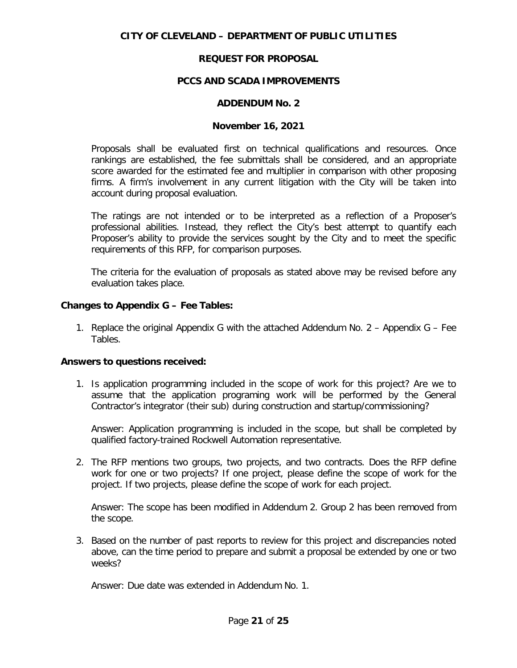#### **PCCS AND SCADA IMPROVEMENTS**

#### **ADDENDUM No. 2**

#### **November 16, 2021**

Proposals shall be evaluated first on technical qualifications and resources. Once rankings are established, the fee submittals shall be considered, and an appropriate score awarded for the estimated fee and multiplier in comparison with other proposing firms. A firm's involvement in any current litigation with the City will be taken into account during proposal evaluation.

The ratings are not intended or to be interpreted as a reflection of a Proposer's professional abilities. Instead, they reflect the City's best attempt to quantify each Proposer's ability to provide the services sought by the City and to meet the specific requirements of this RFP, for comparison purposes.

The criteria for the evaluation of proposals as stated above may be revised before any evaluation takes place.

#### **Changes to Appendix G – Fee Tables:**

1. Replace the original Appendix G with the attached Addendum No. 2 – Appendix G – Fee Tables.

#### **Answers to questions received:**

1. Is application programming included in the scope of work for this project? Are we to assume that the application programing work will be performed by the General Contractor's integrator (their sub) during construction and startup/commissioning?

Answer: Application programming is included in the scope, but shall be completed by qualified factory-trained Rockwell Automation representative.

2. The RFP mentions two groups, two projects, and two contracts. Does the RFP define work for one or two projects? If one project, please define the scope of work for the project. If two projects, please define the scope of work for each project.

Answer: The scope has been modified in Addendum 2. Group 2 has been removed from the scope.

3. Based on the number of past reports to review for this project and discrepancies noted above, can the time period to prepare and submit a proposal be extended by one or two weeks?

Answer: Due date was extended in Addendum No. 1.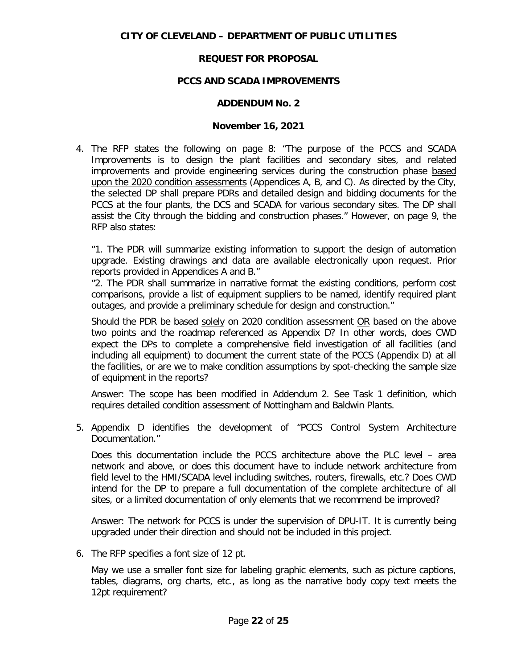#### **PCCS AND SCADA IMPROVEMENTS**

#### **ADDENDUM No. 2**

#### **November 16, 2021**

4. The RFP states the following on page 8: "The purpose of the PCCS and SCADA Improvements is to design the plant facilities and secondary sites, and related improvements and provide engineering services during the construction phase based upon the 2020 condition assessments (Appendices A, B, and C). As directed by the City, the selected DP shall prepare PDRs and detailed design and bidding documents for the PCCS at the four plants, the DCS and SCADA for various secondary sites. The DP shall assist the City through the bidding and construction phases." However, on page 9, the RFP also states:

"1. The PDR will summarize existing information to support the design of automation upgrade. Existing drawings and data are available electronically upon request. Prior reports provided in Appendices A and B."

"2. The PDR shall summarize in narrative format the existing conditions, perform cost comparisons, provide a list of equipment suppliers to be named, identify required plant outages, and provide a preliminary schedule for design and construction."

Should the PDR be based solely on 2020 condition assessment OR based on the above two points and the roadmap referenced as Appendix D? In other words, does CWD expect the DPs to complete a comprehensive field investigation of all facilities (and including all equipment) to document the current state of the PCCS (Appendix D) at all the facilities, or are we to make condition assumptions by spot-checking the sample size of equipment in the reports?

Answer: The scope has been modified in Addendum 2. See Task 1 definition, which requires detailed condition assessment of Nottingham and Baldwin Plants.

5. Appendix D identifies the development of "PCCS Control System Architecture Documentation."

Does this documentation include the PCCS architecture above the PLC level – area network and above, or does this document have to include network architecture from field level to the HMI/SCADA level including switches, routers, firewalls, etc.? Does CWD intend for the DP to prepare a full documentation of the complete architecture of all sites, or a limited documentation of only elements that we recommend be improved?

Answer: The network for PCCS is under the supervision of DPU-IT. It is currently being upgraded under their direction and should not be included in this project.

6. The RFP specifies a font size of 12 pt.

May we use a smaller font size for labeling graphic elements, such as picture captions, tables, diagrams, org charts, etc., as long as the narrative body copy text meets the 12pt requirement?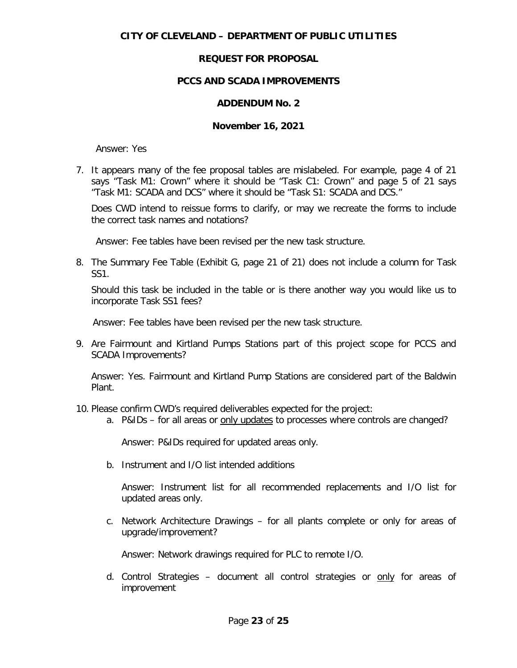## **CITY OF CLEVELAND – DEPARTMENT OF PUBLIC UTILITIES**

# **REQUEST FOR PROPOSAL**

# **PCCS AND SCADA IMPROVEMENTS**

# **ADDENDUM No. 2**

### **November 16, 2021**

Answer: Yes

7. It appears many of the fee proposal tables are mislabeled. For example, page 4 of 21 says "Task M1: Crown" where it should be "Task C1: Crown" and page 5 of 21 says "Task M1: SCADA and DCS" where it should be "Task S1: SCADA and DCS."

Does CWD intend to reissue forms to clarify, or may we recreate the forms to include the correct task names and notations?

Answer: Fee tables have been revised per the new task structure.

8. The Summary Fee Table (Exhibit G, page 21 of 21) does not include a column for Task SS1.

Should this task be included in the table or is there another way you would like us to incorporate Task SS1 fees?

Answer: Fee tables have been revised per the new task structure.

9. Are Fairmount and Kirtland Pumps Stations part of this project scope for PCCS and SCADA Improvements?

Answer: Yes. Fairmount and Kirtland Pump Stations are considered part of the Baldwin Plant.

- 10. Please confirm CWD's required deliverables expected for the project:
	- a. P&IDs for all areas or only updates to processes where controls are changed?

Answer: P&IDs required for updated areas only.

b. Instrument and I/O list intended additions

Answer: Instrument list for all recommended replacements and I/O list for updated areas only.

c. Network Architecture Drawings – for all plants complete or only for areas of upgrade/improvement?

Answer: Network drawings required for PLC to remote I/O.

d. Control Strategies – document all control strategies or only for areas of improvement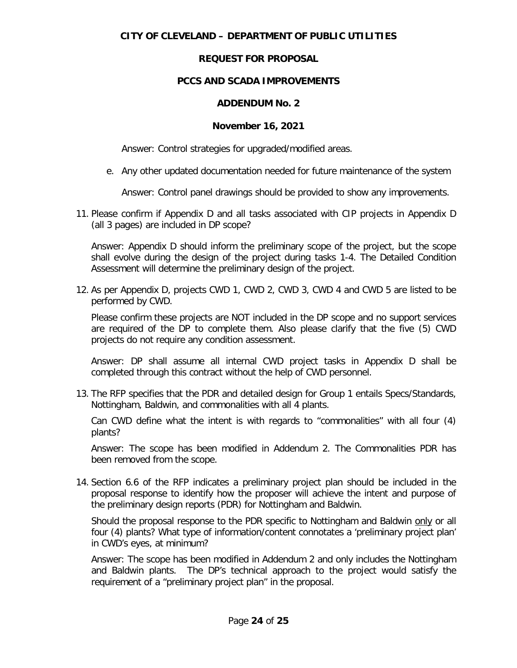# **CITY OF CLEVELAND – DEPARTMENT OF PUBLIC UTILITIES**

# **REQUEST FOR PROPOSAL**

# **PCCS AND SCADA IMPROVEMENTS**

### **ADDENDUM No. 2**

### **November 16, 2021**

Answer: Control strategies for upgraded/modified areas.

e. Any other updated documentation needed for future maintenance of the system

Answer: Control panel drawings should be provided to show any improvements.

11. Please confirm if Appendix D and all tasks associated with CIP projects in Appendix D (all 3 pages) are included in DP scope?

Answer: Appendix D should inform the preliminary scope of the project, but the scope shall evolve during the design of the project during tasks 1-4. The Detailed Condition Assessment will determine the preliminary design of the project.

12. As per Appendix D, projects CWD 1, CWD 2, CWD 3, CWD 4 and CWD 5 are listed to be performed by CWD.

Please confirm these projects are NOT included in the DP scope and no support services are required of the DP to complete them. Also please clarify that the five (5) CWD projects do not require any condition assessment.

Answer: DP shall assume all internal CWD project tasks in Appendix D shall be completed through this contract without the help of CWD personnel.

13. The RFP specifies that the PDR and detailed design for Group 1 entails Specs/Standards, Nottingham, Baldwin, and commonalities with all 4 plants.

Can CWD define what the intent is with regards to "commonalities" with all four (4) plants?

Answer: The scope has been modified in Addendum 2. The Commonalities PDR has been removed from the scope.

14. Section 6.6 of the RFP indicates a preliminary project plan should be included in the proposal response to identify how the proposer will achieve the intent and purpose of the preliminary design reports (PDR) for Nottingham and Baldwin.

Should the proposal response to the PDR specific to Nottingham and Baldwin only or all four (4) plants? What type of information/content connotates a 'preliminary project plan' in CWD's eyes, at minimum?

Answer: The scope has been modified in Addendum 2 and only includes the Nottingham and Baldwin plants. The DP's technical approach to the project would satisfy the requirement of a "preliminary project plan" in the proposal.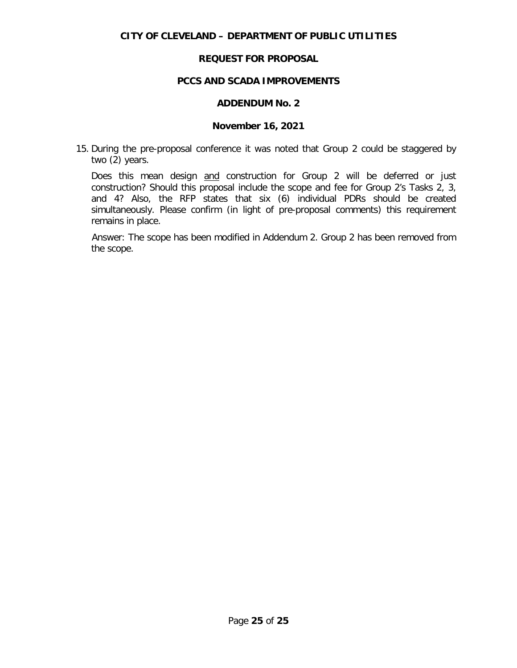#### **PCCS AND SCADA IMPROVEMENTS**

#### **ADDENDUM No. 2**

#### **November 16, 2021**

15. During the pre-proposal conference it was noted that Group 2 could be staggered by two (2) years.

Does this mean design and construction for Group 2 will be deferred or just construction? Should this proposal include the scope and fee for Group 2's Tasks 2, 3, and 4? Also, the RFP states that six (6) individual PDRs should be created simultaneously. Please confirm (in light of pre-proposal comments) this requirement remains in place.

Answer: The scope has been modified in Addendum 2. Group 2 has been removed from the scope.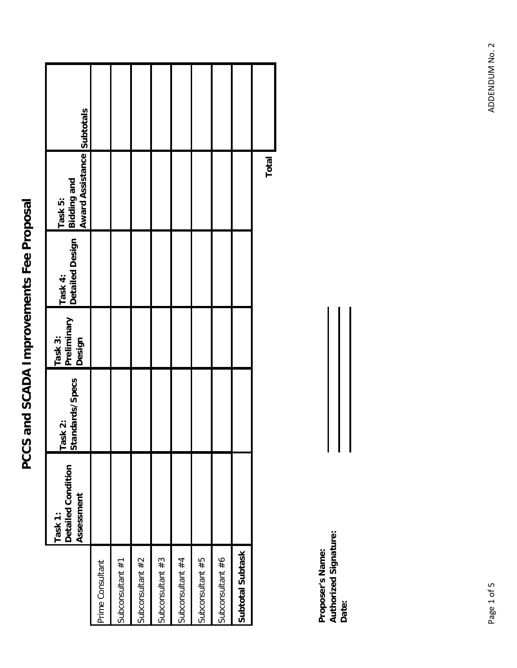|                  | Detailed Condition<br>Assessment<br>Task 1: | Task 2:<br>Standards/Specs | Preliminary<br>Task 3:<br>Design | Task 4:<br>Detailed Design | <b>Bidding and<br/>Award Assistance Subtotals</b><br>Task 5: |  |
|------------------|---------------------------------------------|----------------------------|----------------------------------|----------------------------|--------------------------------------------------------------|--|
| Prime Consultant |                                             |                            |                                  |                            |                                                              |  |
| Subconsultant #1 |                                             |                            |                                  |                            |                                                              |  |
| Subconsultant #2 |                                             |                            |                                  |                            |                                                              |  |
| Subconsultant #3 |                                             |                            |                                  |                            |                                                              |  |
| Subconsultant #4 |                                             |                            |                                  |                            |                                                              |  |
| Subconsultant #5 |                                             |                            |                                  |                            |                                                              |  |
| Subconsultant #6 |                                             |                            |                                  |                            |                                                              |  |
| Subtotal Subtask |                                             |                            |                                  |                            |                                                              |  |
|                  |                                             |                            |                                  |                            | Total                                                        |  |

**Proposer's Name: Authorized Signature:** Proposer's Name:<br>Authorized Signature:<br>Date: ADDENDUM No. 2 Page 1 of 5 ADDENDUM No. 2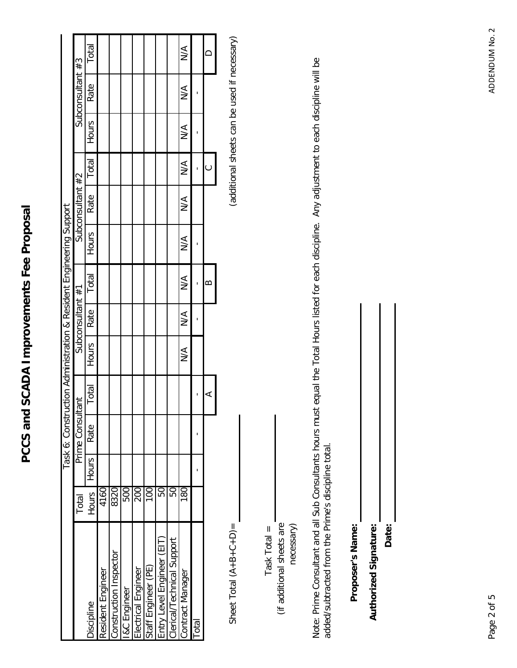|                            |                |       | Task 6: Constru |       | uction Administration & Resident Engineering Support |                  |               |               |                  |               |               |                  |               |
|----------------------------|----------------|-------|-----------------|-------|------------------------------------------------------|------------------|---------------|---------------|------------------|---------------|---------------|------------------|---------------|
|                            | Total          |       | Prime Consul    | tant  |                                                      | Subconsultant #1 |               |               | Subconsultant #2 |               |               | Subconsultant #3 |               |
| Discipline                 | Hours          | Hours | Rate            | Total | Hours                                                | Rate             | Total         | Hours         | Rate             | Total         | <b>Hours</b>  | Rate             | Total         |
| Resident Engineer          | 4160           |       |                 |       |                                                      |                  |               |               |                  |               |               |                  |               |
| Construction Inspector     | 8320           |       |                 |       |                                                      |                  |               |               |                  |               |               |                  |               |
| <b>I&amp;C</b> Engineer    | 500            |       |                 |       |                                                      |                  |               |               |                  |               |               |                  |               |
| Electrical Engineer        | 200            |       |                 |       |                                                      |                  |               |               |                  |               |               |                  |               |
| Staff Engineer (PE)        | $\overline{0}$ |       |                 |       |                                                      |                  |               |               |                  |               |               |                  |               |
| Entry Level Engineer (EIT) | 50             |       |                 |       |                                                      |                  |               |               |                  |               |               |                  |               |
| Clerical/Technical Support | 50             |       |                 |       |                                                      |                  |               |               |                  |               |               |                  |               |
| Contract Manager           | $\frac{8}{2}$  |       |                 |       | $\frac{4}{2}$                                        | $\frac{4}{2}$    | $\frac{1}{2}$ | $\frac{1}{2}$ | $\frac{1}{2}$    | $\frac{1}{2}$ | $\frac{1}{2}$ | $\sum_{i=1}^{n}$ | $\frac{1}{2}$ |
| Total                      |                |       |                 |       |                                                      |                  |               |               |                  |               |               |                  |               |
|                            |                |       |                 |       |                                                      |                  | ≃             |               |                  |               |               |                  |               |
|                            |                |       |                 |       |                                                      |                  |               |               |                  |               |               |                  |               |

Sheet Total  $(A + B + C + D) =$ 

(additional sheets can be used if necessary) Sheet Total (A+B+C+D)= (A+B+C+D161 to used if necessary)

(if additional sheets are  $Task Total =$ Task Total =

(if additional sheets are necessary) Note: Prime Consultant and all Sub Consultants hours must equal the Total Hours listed for each discipline. Any adjustment to each discipline will be Note: Prime Consultant and all Sub Consultants hours must equal the Total Hours listed for each discipline. Any adjustment to each discipline will be added/subtracted from the Prime's discipline total. added/subtracted from the Prime's discipline total.

Proposer's Name: **Proposer's Name:**

**Authorized Signature: Authorized Signature:**

**Date:**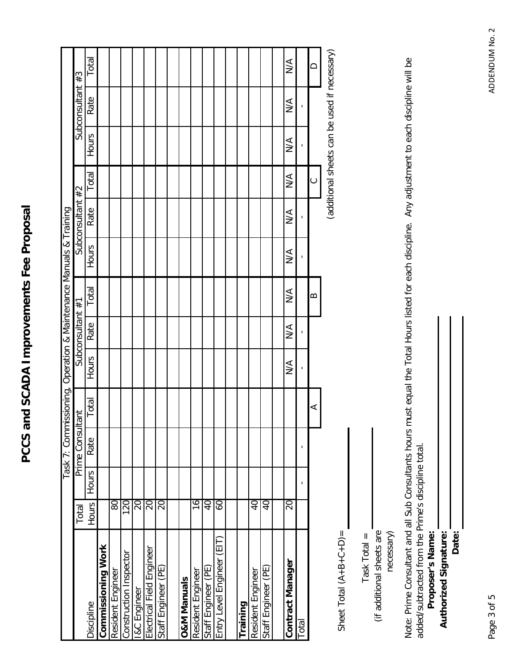|                           |                |                | Task 7: Commissioning, Operation & Maintenance Manuals & Training |       |                  |                  |               |                  |                  |                  |                  |                                              |        |
|---------------------------|----------------|----------------|-------------------------------------------------------------------|-------|------------------|------------------|---------------|------------------|------------------|------------------|------------------|----------------------------------------------|--------|
|                           | Total          |                | Prime Consul                                                      | tant  |                  | Subconsultant #1 |               |                  | Subconsultant #2 |                  |                  | Subconsultant #3                             |        |
| Discipline                | Hours          | <b>Hours</b>   | Rate                                                              | Total | <b>Hours</b>     | Rate             | Total         | Hours            | Rate             | Total            | Hours            | Rate                                         | Total  |
| Commissioning Work        |                |                |                                                                   |       |                  |                  |               |                  |                  |                  |                  |                                              |        |
| Resident Engineer         | 80             |                |                                                                   |       |                  |                  |               |                  |                  |                  |                  |                                              |        |
| Construction Inspector    | 120            |                |                                                                   |       |                  |                  |               |                  |                  |                  |                  |                                              |        |
| <b>I&amp;C</b> Engineer   | $\Omega$       |                |                                                                   |       |                  |                  |               |                  |                  |                  |                  |                                              |        |
| Electrical Field Engineer | 20             |                |                                                                   |       |                  |                  |               |                  |                  |                  |                  |                                              |        |
| Staff Engineer (PE)       | 20             |                |                                                                   |       |                  |                  |               |                  |                  |                  |                  |                                              |        |
|                           |                |                |                                                                   |       |                  |                  |               |                  |                  |                  |                  |                                              |        |
| <b>O&amp;M Manuals</b>    |                |                |                                                                   |       |                  |                  |               |                  |                  |                  |                  |                                              |        |
| Resident Engineer         | 16             |                |                                                                   |       |                  |                  |               |                  |                  |                  |                  |                                              |        |
| Staff Engineer (PE)       | $\overline{0}$ |                |                                                                   |       |                  |                  |               |                  |                  |                  |                  |                                              |        |
| Entry Level Engineer (EIT | S9             |                |                                                                   |       |                  |                  |               |                  |                  |                  |                  |                                              |        |
|                           |                |                |                                                                   |       |                  |                  |               |                  |                  |                  |                  |                                              |        |
| Training                  |                |                |                                                                   |       |                  |                  |               |                  |                  |                  |                  |                                              |        |
| Resident Engineer         | $\overline{0}$ |                |                                                                   |       |                  |                  |               |                  |                  |                  |                  |                                              |        |
| Staff Engineer (PE)       | $\overline{0}$ |                |                                                                   |       |                  |                  |               |                  |                  |                  |                  |                                              |        |
|                           |                |                |                                                                   |       |                  |                  |               |                  |                  |                  |                  |                                              |        |
| Contract Manager          | $\Omega$       |                |                                                                   |       | $\sum_{i=1}^{n}$ | $\sum_{i=1}^{n}$ | $\frac{1}{2}$ | $\sum_{i=1}^{n}$ | $\sum_{i=1}^{n}$ | $\sum_{i=1}^{n}$ | $\sum_{i=1}^{n}$ | $\sum_{i=1}^{n}$                             | $\leq$ |
| Total                     |                | $\blacksquare$ | 1                                                                 |       | $\blacksquare$   | ı                |               | ı                | ı                |                  |                  |                                              |        |
|                           |                |                |                                                                   | ⋖     |                  |                  | ≃             |                  |                  | $\circ$          |                  |                                              | ≏      |
|                           |                |                |                                                                   |       |                  |                  |               |                  |                  |                  |                  | (additional sheets can be used if necessary) |        |

Sheet Total  $(A + B + C + D) =$ Sheet  $Total (A+B+C+D)$ =

Task Total  $=$ Task Total =

(if additional sheets are (if additional sheets are

necessary)

Note: Prime Consultant and all Sub Consultants hours must equal the Total Hours listed for each discipline. Any adjustment to each discipline will be Note: Prime Consultant and all Sub Consultants hours must equal the Total Hours listed for each discipline. Any adjustment to each discipline will be added/subtracted from the Prime's discipline total. added/subtracted from the Prime's discipline total.

| Proposer's Name: | <b>Authorized Signature:</b> | Date: |  |
|------------------|------------------------------|-------|--|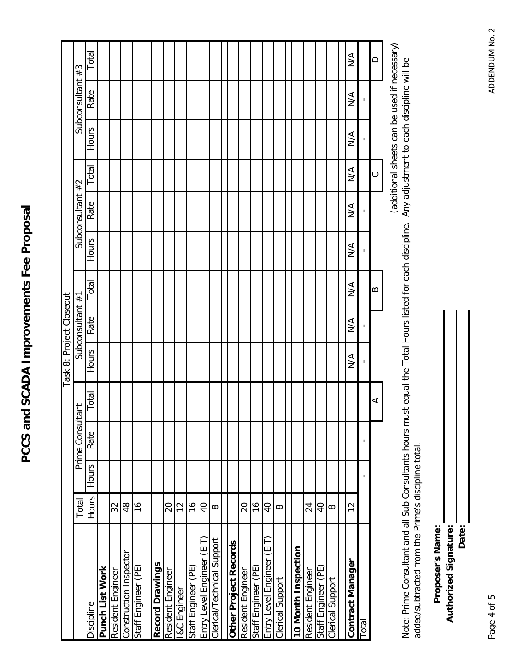|                            |                          |              |               |       | Task 8: Project Closeout |                  |                  |                  |                  |               |                  |                  |                  |
|----------------------------|--------------------------|--------------|---------------|-------|--------------------------|------------------|------------------|------------------|------------------|---------------|------------------|------------------|------------------|
|                            | Total                    |              | Prime Consult | tant  |                          | Subconsultant #1 |                  |                  | Subconsultant #2 |               |                  | Subconsultant #3 |                  |
| Discipline                 | Hours                    | <b>Hours</b> | Rate          | Total | Hours                    | Rate             | Total            | Hours            | Rate             | Total         | Hours            | Rate             | Total            |
| Punch List Work            |                          |              |               |       |                          |                  |                  |                  |                  |               |                  |                  |                  |
| Resident Engineer          | 32                       |              |               |       |                          |                  |                  |                  |                  |               |                  |                  |                  |
| Construction Inspector     | 48                       |              |               |       |                          |                  |                  |                  |                  |               |                  |                  |                  |
| Staff Engineer (PE)        | $\frac{6}{2}$            |              |               |       |                          |                  |                  |                  |                  |               |                  |                  |                  |
|                            |                          |              |               |       |                          |                  |                  |                  |                  |               |                  |                  |                  |
| Record Drawings            |                          |              |               |       |                          |                  |                  |                  |                  |               |                  |                  |                  |
| Resident Engineer          | 20                       |              |               |       |                          |                  |                  |                  |                  |               |                  |                  |                  |
| I&C Engineer               | $\frac{2}{3}$            |              |               |       |                          |                  |                  |                  |                  |               |                  |                  |                  |
| Staff Engineer (PE)        | $\frac{6}{1}$            |              |               |       |                          |                  |                  |                  |                  |               |                  |                  |                  |
| Entry Level Engineer (EIT) | $\overline{0}$           |              |               |       |                          |                  |                  |                  |                  |               |                  |                  |                  |
| Clerical/Technical Support | $\infty$                 |              |               |       |                          |                  |                  |                  |                  |               |                  |                  |                  |
|                            |                          |              |               |       |                          |                  |                  |                  |                  |               |                  |                  |                  |
| Other Project Records      |                          |              |               |       |                          |                  |                  |                  |                  |               |                  |                  |                  |
| Resident Engineer          | $\overline{\mathcal{L}}$ |              |               |       |                          |                  |                  |                  |                  |               |                  |                  |                  |
| Staff Engineer (PE)        | $\frac{6}{1}$            |              |               |       |                          |                  |                  |                  |                  |               |                  |                  |                  |
| Entry Level Engineer (EIT  | $\overline{Q}$           |              |               |       |                          |                  |                  |                  |                  |               |                  |                  |                  |
| Clerical Support           | $\infty$                 |              |               |       |                          |                  |                  |                  |                  |               |                  |                  |                  |
|                            |                          |              |               |       |                          |                  |                  |                  |                  |               |                  |                  |                  |
| 10 Month Inspection        |                          |              |               |       |                          |                  |                  |                  |                  |               |                  |                  |                  |
| Resident Engineer          | 24                       |              |               |       |                          |                  |                  |                  |                  |               |                  |                  |                  |
| Staff Engineer (PE)        | $\overline{a}$           |              |               |       |                          |                  |                  |                  |                  |               |                  |                  |                  |
| Clerical Support           | $\infty$                 |              |               |       |                          |                  |                  |                  |                  |               |                  |                  |                  |
|                            |                          |              |               |       |                          |                  |                  |                  |                  |               |                  |                  |                  |
| Contract Manager           | $\overline{c}$           |              |               |       | $\sum_{i=1}^{n}$         | $\sum_{i=1}^{n}$ | $\sum_{i=1}^{n}$ | $\sum_{i=1}^{n}$ | $\sum_{i=1}^{n}$ | $\frac{4}{2}$ | $\sum_{i=1}^{n}$ | $\sum_{i=1}^{n}$ | $\sum_{i=1}^{n}$ |
| Total                      |                          | ٠            |               |       | ı                        |                  |                  | J,               |                  |               |                  |                  |                  |
|                            |                          |              |               | ⋖     |                          |                  | ≃                |                  |                  | ပ             |                  |                  | ≏                |
|                            |                          |              |               |       |                          |                  |                  |                  |                  |               |                  |                  |                  |

(additional sheets can be used if necessary) (additional sheets can be used if necessary)

Note: Prime Consultant and all Sub Consultants hours must equal the Total Hours listed for each discipline. Any adjustment to each discipline will be Note: Prime Consultant and all Sub Consultants hours must equal the Total Hours listed for each discipline. Any adjustment to each discipline will be added/subtracted from the Prime's discipline total. added/subtracted from the Prime's discipline total.

**Date:** Proposer's Name: Authorized Signature: **Proposer's Name: Authorized Signature:**